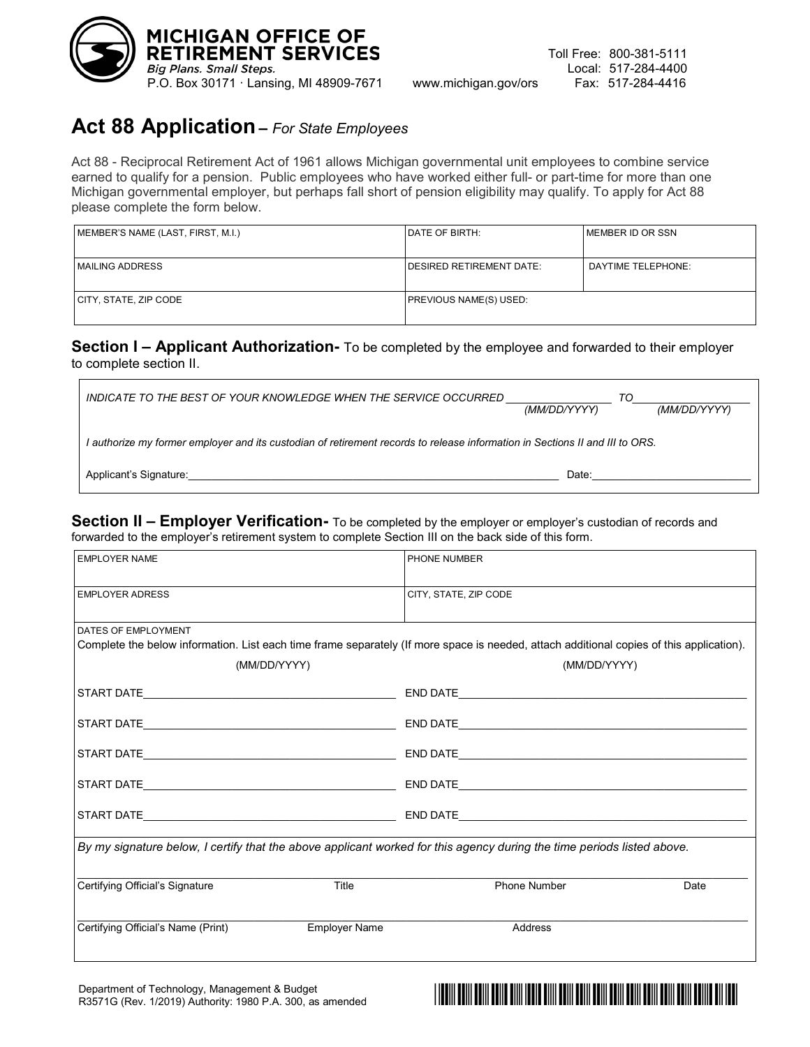

## **Act 88 Application–** *For State Employees*

Act 88 - Reciprocal Retirement Act of 1961 allows Michigan governmental unit employees to combine service earned to qualify for a pension. Public employees who have worked either full- or part-time for more than one Michigan governmental employer, but perhaps fall short of pension eligibility may qualify. To apply for Act 88 please complete the form below.

| MEMBER'S NAME (LAST, FIRST, M.I.) | <b>IDATE OF BIRTH:</b>           | I MEMBER ID OR SSN |
|-----------------------------------|----------------------------------|--------------------|
|                                   |                                  |                    |
| <b>MAILING ADDRESS</b>            | <b>IDESIRED RETIREMENT DATE:</b> | DAYTIME TELEPHONE: |
| CITY, STATE, ZIP CODE             | <b>PREVIOUS NAME(S) USED:</b>    |                    |

#### **Section I – Applicant Authorization-** To be completed by the employee and forwarded to their employer to complete section II.

| INDICATE TO THE BEST OF YOUR KNOWLEDGE WHEN THE SERVICE OCCURRED                                                             | TO<br>(MM/DD/YYYY) | (MM/DD/YYYY) |  |  |
|------------------------------------------------------------------------------------------------------------------------------|--------------------|--------------|--|--|
| I authorize my former employer and its custodian of retirement records to release information in Sections II and III to ORS. |                    |              |  |  |
| Applicant's Signature:                                                                                                       | Date:              |              |  |  |

**Section II – Employer Verification-** To be completed by the employer or employer's custodian of records and forwarded to the employer's retirement system to complete Section III on the back side of this form.

| <b>EMPLOYER NAME</b>                                                                                                   |                      | PHONE NUMBER                                                                                                                             |      |  |  |
|------------------------------------------------------------------------------------------------------------------------|----------------------|------------------------------------------------------------------------------------------------------------------------------------------|------|--|--|
| <b>EMPLOYER ADRESS</b>                                                                                                 |                      | CITY, STATE, ZIP CODE                                                                                                                    |      |  |  |
| DATES OF EMPLOYMENT                                                                                                    |                      |                                                                                                                                          |      |  |  |
|                                                                                                                        |                      | Complete the below information. List each time frame separately (If more space is needed, attach additional copies of this application). |      |  |  |
|                                                                                                                        | (MM/DD/YYYY)         | (MM/DD/YYYY)                                                                                                                             |      |  |  |
|                                                                                                                        |                      |                                                                                                                                          |      |  |  |
|                                                                                                                        |                      |                                                                                                                                          |      |  |  |
|                                                                                                                        |                      |                                                                                                                                          |      |  |  |
|                                                                                                                        |                      |                                                                                                                                          |      |  |  |
|                                                                                                                        |                      |                                                                                                                                          |      |  |  |
| By my signature below, I certify that the above applicant worked for this agency during the time periods listed above. |                      |                                                                                                                                          |      |  |  |
| Certifying Official's Signature                                                                                        | Title                | <b>Phone Number</b>                                                                                                                      | Date |  |  |
| Certifying Official's Name (Print)                                                                                     | <b>Employer Name</b> | Address                                                                                                                                  |      |  |  |
|                                                                                                                        |                      |                                                                                                                                          |      |  |  |

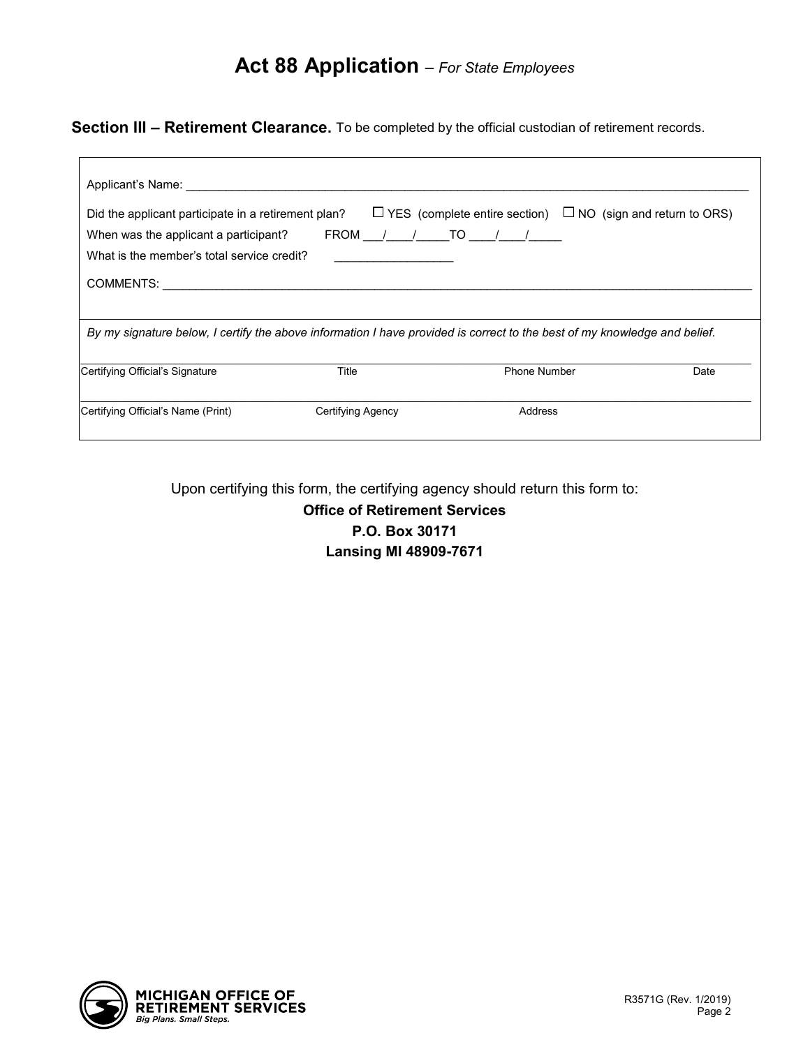# **Act 88 Application** – *For State Employees*

**Section III – Retirement Clearance.** To be completed by the official custodian of retirement records.

| Applicant's Name: Applicant is not all the set of the set of the set of the set of the set of the set of the s                                                 |                   |                                                                                                                           |      |
|----------------------------------------------------------------------------------------------------------------------------------------------------------------|-------------------|---------------------------------------------------------------------------------------------------------------------------|------|
| Did the applicant participate in a retirement plan?<br>When was the applicant a participant? FROM $/$ / TO $/$ /<br>What is the member's total service credit? |                   | $\Box$ YES (complete entire section) $\Box$ NO (sign and return to ORS)                                                   |      |
|                                                                                                                                                                |                   | By my signature below, I certify the above information I have provided is correct to the best of my knowledge and belief. |      |
| Certifying Official's Signature                                                                                                                                | Title             | <b>Phone Number</b>                                                                                                       | Date |
| Certifying Official's Name (Print)                                                                                                                             | Certifying Agency | Address                                                                                                                   |      |

Upon certifying this form, the certifying agency should return this form to:

**Office of Retirement Services P.O. Box 30171 Lansing MI 48909-7671**